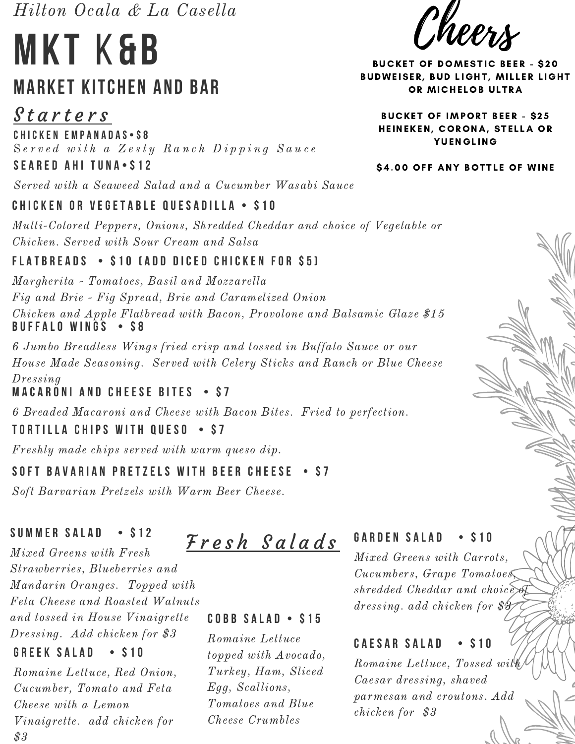Hilton Ocala & La Casella

# **M k t** K**& B MARKET KITCHEN AND BAR**

**C h i c k e n E m p a n a d a s • \$ 8** <u>Starters</u>

 $Served with a Ze$ sty  $Random$  Dipping  $Sa$ uce **S e a r e d A h i t u n a • \$ 1 2**

Served with a Seaweed Salad and a Cucumber Wasabi Sauce

# **CHICKEN OR VEGETABLE QUESADILLA • \$10**

Multi-Colored Peppers, Onions, Shredded Cheddar and choice of Vegetable or Chicken. Served with Sour Cream and Salsa

# **FLATBREADS • \$10 (ADD DICED CHICKEN FOR \$5)**

Margherita - Tomatoes, Basil and Mozzarella Fig and Brie - Fig Spread, Brie and Caramelized Onion Chicken and Apple Flatbread with Bacon, Provolone and Balsamic Glaze \$15 **B u f f a l o W i n g s • \$ 8**

6 Jumbo Breadless Wings fried crisp and tossed in Buffalo Sauce or our House Made Seasoning. Served with Celery Sticks and Ranch or Blue Cheese Dressing

# **MACARONI AND CHEESE BITES • S7**

6 Breaded Macaroni and Cheese with Bacon Bites. Fried to perfection.

# **TORTILLA CHIPS WITH QUESO • \$7**

Freshly made chips served with warm queso dip.

# **SOFT BAVARIAN PRETZELS WITH BEER CHEESE • \$7**

Soft Barvarian Pretzels with Warm Beer Cheese.

# **SUMMER SALAD • \$12**

Mixed Greens with Fresh Strawberries, Blueberries and Mandarin Oranges. Topped with Feta Cheese and Roasted Walnuts and tossed in House Vinaigrette Dressing. Add chicken for \$3

# **GREEK SALAD • \$10**

Romaine Lettuce, Red Onion, Cucumber, Tomato and Feta Cheese with a Lemon Vinaigrette. add chicken for  $\$3$ 

# F r e s h S a l a d s

# **COBB SALAD • \$15**

Romaine Lettuce topped with Avocado, Turkey, Ham, Sliced Egg, Scallions, Tomatoes and Blue Cheese Crumbles

# **GARDEN SALAD • \$10**

Mixed Greens with Carrots, Cucumbers, Grape Tomatoes, shredded Cheddar and choice of dressing. add chicken for \$3

# **CAESAR SALAD • S10**

Romaine Lettuce, Tossed with Caesar dressing, shaved parmesan and croutons. Add chicken for \$3

l'heer

**BUCKET OF DOMESTIC BEER - \$20** BUDWEISER, BUD LIGHT, MILLER LIGHT OR MICHELOB ULTRA

**BUCKET OF IMPORT BEER - \$25** HEINEKEN, CORONA, STELLA OR **YUENGLING** 

#### \$4.00 OFF ANY BOTTLE OF WINE